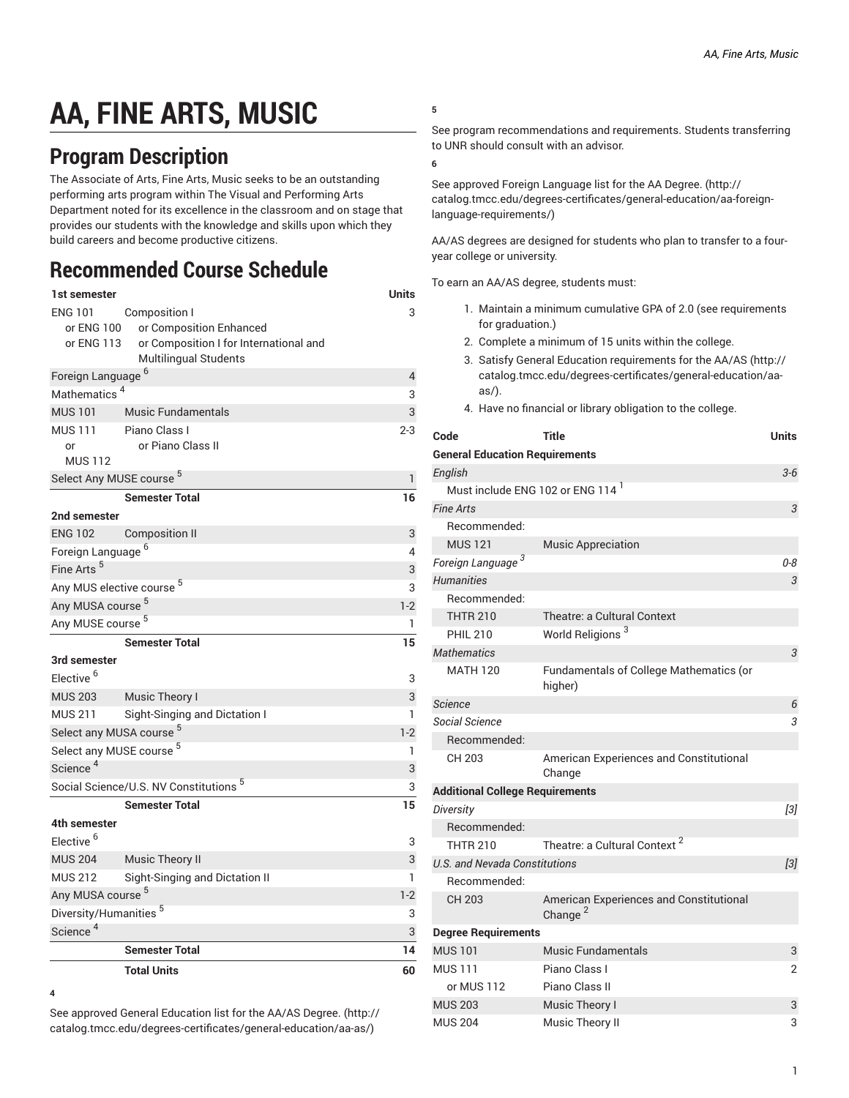# **AA, FINE ARTS, MUSIC**

## **Program Description**

The Associate of Arts, Fine Arts, Music seeks to be an outstanding performing arts program within The Visual and Performing Arts Department noted for its excellence in the classroom and on stage that provides our students with the knowledge and skills upon which they build careers and become productive citizens.

## **Recommended Course Schedule**

| 1st semester                        |                                                   | <b>Units</b> |
|-------------------------------------|---------------------------------------------------|--------------|
| <b>ENG 101</b>                      | Composition I                                     | 3            |
| or ENG 100                          | or Composition Enhanced                           |              |
| or ENG 113                          | or Composition I for International and            |              |
|                                     | <b>Multilingual Students</b>                      |              |
| Foreign Language <sup>6</sup>       | $\overline{4}$                                    |              |
| Mathematics <sup>4</sup>            |                                                   | 3            |
| <b>MUS 101</b>                      | <b>Music Fundamentals</b>                         | 3            |
| <b>MUS 111</b>                      | Piano Class I                                     | $2 - 3$      |
| or                                  | or Piano Class II                                 |              |
| <b>MUS 112</b>                      |                                                   |              |
| Select Any MUSE course 5            |                                                   | 1            |
|                                     | <b>Semester Total</b>                             | 16           |
| 2nd semester                        |                                                   |              |
| <b>ENG 102</b>                      | <b>Composition II</b>                             | 3            |
| Foreign Language <sup>6</sup>       |                                                   | 4            |
| Fine Arts <sup>5</sup>              |                                                   | 3            |
| Any MUS elective course 5           |                                                   | 3            |
| Any MUSA course <sup>5</sup>        |                                                   | $1-2$        |
| Any MUSE course <sup>5</sup>        |                                                   | 1            |
|                                     | <b>Semester Total</b>                             | 15           |
| 3rd semester                        |                                                   |              |
| Elective <sup>6</sup>               |                                                   | 3            |
| <b>MUS 203</b>                      | Music Theory I                                    | 3            |
| <b>MUS 211</b>                      | Sight-Singing and Dictation I                     | 1            |
| Select any MUSA course <sup>5</sup> |                                                   | $1-2$        |
| Select any MUSE course <sup>5</sup> |                                                   | 1            |
| Science <sup>4</sup>                |                                                   | 3            |
|                                     | Social Science/U.S. NV Constitutions <sup>5</sup> | 3            |
|                                     | <b>Semester Total</b>                             | 15           |
| 4th semester                        |                                                   |              |
| Elective <sup>6</sup>               |                                                   | 3            |
| <b>MUS 204</b>                      | Music Theory II                                   | 3            |
| <b>MUS 212</b>                      | Sight-Singing and Dictation II                    | 1            |
| Any MUSA course <sup>5</sup>        |                                                   | $1-2$        |
| Diversity/Humanities <sup>5</sup>   |                                                   |              |
|                                     |                                                   | 3            |
| Science <sup>4</sup>                |                                                   | 3            |
|                                     | <b>Semester Total</b>                             | 14           |

**<sup>4</sup>**

See approved General [Education](http://catalog.tmcc.edu/degrees-certificates/general-education/aa-as/) list for the AA/AS Degree. ([http://](http://catalog.tmcc.edu/degrees-certificates/general-education/aa-as/) [catalog.tmcc.edu/degrees-certificates/general-education/aa-as/](http://catalog.tmcc.edu/degrees-certificates/general-education/aa-as/))

**5**

See program recommendations and requirements. Students transferring to UNR should consult with an advisor.

**6**

See approved Foreign [Language](http://catalog.tmcc.edu/degrees-certificates/general-education/aa-foreign-language-requirements/) list for the AA Degree. [\(http://](http://catalog.tmcc.edu/degrees-certificates/general-education/aa-foreign-language-requirements/) [catalog.tmcc.edu/degrees-certificates/general-education/aa-foreign](http://catalog.tmcc.edu/degrees-certificates/general-education/aa-foreign-language-requirements/)[language-requirements/\)](http://catalog.tmcc.edu/degrees-certificates/general-education/aa-foreign-language-requirements/)

AA/AS degrees are designed for students who plan to transfer to a fouryear college or university.

To earn an AA/AS degree, students must:

- 1. Maintain a minimum cumulative GPA of 2.0 (see requirements for graduation.)
- 2. Complete a minimum of 15 units within the college.
- 3. Satisfy General Education [requirements](http://catalog.tmcc.edu/degrees-certificates/general-education/aa-as/) for the AA/AS ([http://](http://catalog.tmcc.edu/degrees-certificates/general-education/aa-as/) [catalog.tmcc.edu/degrees-certificates/general-education/aa](http://catalog.tmcc.edu/degrees-certificates/general-education/aa-as/)[as/](http://catalog.tmcc.edu/degrees-certificates/general-education/aa-as/)).
- 4. Have no financial or library obligation to the college.

| Code                                         | Title                                                          | <b>Units</b> |
|----------------------------------------------|----------------------------------------------------------------|--------------|
| <b>General Education Requirements</b>        |                                                                |              |
| English                                      |                                                                | $3 - 6$      |
| Must include ENG 102 or ENG 114 <sup>1</sup> |                                                                |              |
| <b>Fine Arts</b>                             |                                                                | 3            |
| Recommended:                                 |                                                                |              |
| <b>MUS121</b>                                | <b>Music Appreciation</b>                                      |              |
| Foreign Language <sup>3</sup>                |                                                                | 0-8          |
| <b>Humanities</b>                            |                                                                | 3            |
| Recommended:                                 |                                                                |              |
| <b>THTR 210</b>                              | Theatre: a Cultural Context                                    |              |
| <b>PHIL 210</b>                              | World Religions <sup>3</sup>                                   |              |
| <b>Mathematics</b>                           |                                                                | 3            |
| <b>MATH 120</b>                              | Fundamentals of College Mathematics (or<br>higher)             |              |
| <b>Science</b>                               |                                                                | 6            |
| Social Science                               |                                                                | 3            |
| Recommended:                                 |                                                                |              |
| CH 203                                       | American Experiences and Constitutional<br>Change              |              |
| <b>Additional College Requirements</b>       |                                                                |              |
| Diversity                                    |                                                                | $[3]$        |
| Recommended:                                 |                                                                |              |
| <b>THTR 210</b>                              | Theatre: a Cultural Context <sup>2</sup>                       |              |
| U.S. and Nevada Constitutions                |                                                                | $[3]$        |
| Recommended:                                 |                                                                |              |
| CH 203                                       | American Experiences and Constitutional<br>Change <sup>2</sup> |              |
| <b>Degree Requirements</b>                   |                                                                |              |
| <b>MUS 101</b>                               | <b>Music Fundamentals</b>                                      | 3            |
| <b>MUS111</b>                                | Piano Class I                                                  | 2            |
| or MUS 112                                   | Piano Class II                                                 |              |
| <b>MUS 203</b>                               | Music Theory I                                                 | 3            |
| <b>MUS 204</b>                               | Music Theory II                                                | 3            |